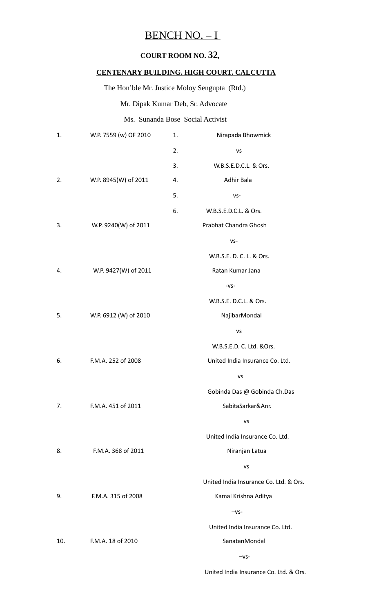## BENCH NO. – I

### **COURT ROOM NO. 32 ,**

#### **CENTENARY BUILDING, HIGH COURT, CALCUTTA**

The Hon'ble Mr. Justice Moloy Sengupta (Rtd.)

Mr. Dipak Kumar Deb, Sr. Advocate

#### Ms. Sunanda Bose Social Activist

| 1.  | W.P. 7559 (w) OF 2010 | 1. | Nirapada Bhowmick                      |
|-----|-----------------------|----|----------------------------------------|
|     |                       | 2. | <b>VS</b>                              |
|     |                       | 3. | W.B.S.E.D.C.L. & Ors.                  |
| 2.  | W.P. 8945(W) of 2011  | 4. | Adhir Bala                             |
|     |                       | 5. | VS-                                    |
|     |                       | 6. | W.B.S.E.D.C.L. & Ors.                  |
| 3.  | W.P. 9240(W) of 2011  |    | Prabhat Chandra Ghosh                  |
|     |                       |    | VS-                                    |
|     |                       |    | W.B.S.E. D. C. L. & Ors.               |
| 4.  | W.P. 9427(W) of 2011  |    | Ratan Kumar Jana                       |
|     |                       |    | $-VS-$                                 |
|     |                       |    | W.B.S.E. D.C.L. & Ors.                 |
| 5.  | W.P. 6912 (W) of 2010 |    | NajibarMondal                          |
|     |                       |    | vs                                     |
|     |                       |    | W.B.S.E.D. C. Ltd. &Ors.               |
| 6.  | F.M.A. 252 of 2008    |    | United India Insurance Co. Ltd.        |
|     |                       |    | VS                                     |
|     |                       |    | Gobinda Das @ Gobinda Ch.Das           |
| 7.  | F.M.A. 451 of 2011    |    | SabitaSarkar&Anr.                      |
|     |                       |    | VS                                     |
|     |                       |    | United India Insurance Co. Ltd.        |
| 8.  | F.M.A. 368 of 2011    |    | Niranjan Latua                         |
|     |                       |    | VS                                     |
|     |                       |    | United India Insurance Co. Ltd. & Ors. |
| 9.  | F.M.A. 315 of 2008    |    | Kamal Krishna Aditya                   |
|     |                       |    | $-VS-$                                 |
|     |                       |    | United India Insurance Co. Ltd.        |
| 10. | F.M.A. 18 of 2010     |    | SanatanMondal                          |
|     |                       |    | $-vs-$                                 |
|     |                       |    |                                        |

United India Insurance Co. Ltd. & Ors.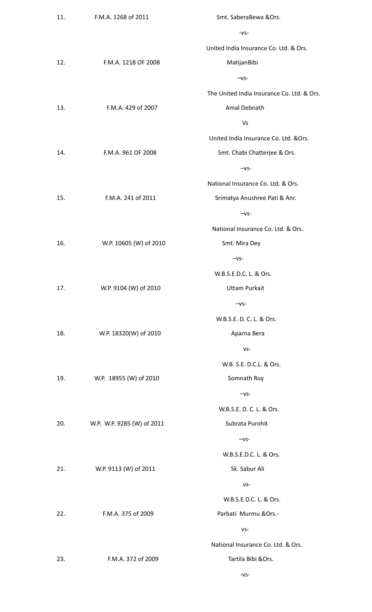| 11. | F.M.A. 1268 of 2011        | Smt. SaberaBewa &Ors.                      |
|-----|----------------------------|--------------------------------------------|
|     |                            | $-VS-$                                     |
|     |                            | United India Insurance Co. Ltd. & Ors.     |
| 12. | F.M.A. 1218 OF 2008        | MatijanBibi                                |
|     |                            | $-vs-$                                     |
|     |                            | The United India Insurance Co. Ltd. & Ors. |
| 13. | F.M.A. 429 of 2007         | Amal Debnath                               |
|     |                            | <b>Vs</b>                                  |
|     |                            | United India Insurance Co. Ltd. & Ors.     |
| 14. | F.M.A. 961 OF 2008         | Smt. Chabi Chatterjee & Ors.               |
|     |                            | $-vs-$                                     |
|     |                            | National Insurance Co. Ltd. & Ors.         |
| 15. | F.M.A. 241 of 2011         | Srimatya Anushree Pati & Anr.              |
|     |                            | $-vs-$                                     |
|     |                            | National Insurance Co. Ltd. & Ors.         |
| 16. | W.P. 10605 (W) of 2010     | Smt. Mira Dey                              |
|     |                            | $-VS-$                                     |
|     |                            | W.B.S.E.D.C. L. & Ors.                     |
| 17. | W.P. 9104 (W) of 2010      | <b>Uttam Purkait</b>                       |
|     |                            | $-vs-$                                     |
|     |                            | W.B.S.E. D. C. L. & Ors.                   |
| 18. | W.P. 18320(W) of 2010      | Aparna Bera                                |
|     |                            | $VS -$                                     |
|     |                            | W.B. S.E. D.C.L. & Ors.                    |
| 19. | W.P. 18955 (W) of 2010     | Somnath Roy                                |
|     |                            | $-vs-$                                     |
|     |                            | W.B.S.E. D. C. L. & Ors.                   |
| 20. | W.P. W.P. 9285 (W) of 2011 | Subrata Purohit                            |
|     |                            | $-vs-$                                     |
|     |                            | W.B.S.E.D.C. L. & Ors.                     |
| 21. | W.P. 9113 (W) of 2011      | Sk. Sabur Ali                              |
|     |                            | $VS -$                                     |
|     |                            | W.B.S.E.D.C. L. & Ors.                     |
| 22. | F.M.A. 375 of 2009         | Parbati Murmu & Ors.-                      |
|     |                            | $VS -$                                     |
|     |                            | National Insurance Co. Ltd. & Ors.         |
| 23. | F.M.A. 372 of 2009         | Tartila Bibi & Ors.                        |
|     |                            | $-VS-$                                     |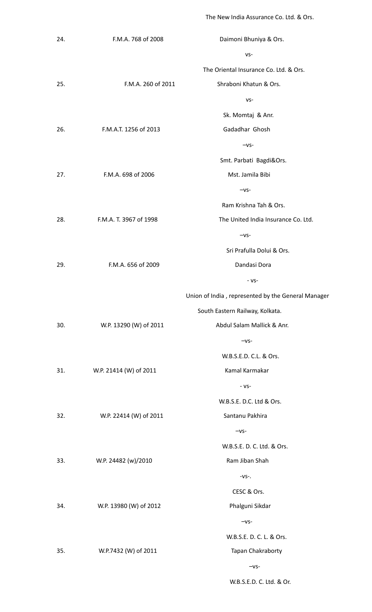The New India Assurance Co. Ltd. & Ors.

W.B.S.E.D. C. Ltd. & Or.

| 24. | F.M.A. 768 of 2008     | Daimoni Bhuniya & Ors.                             |
|-----|------------------------|----------------------------------------------------|
|     |                        | VS-                                                |
|     |                        | The Oriental Insurance Co. Ltd. & Ors.             |
| 25. | F.M.A. 260 of 2011     | Shraboni Khatun & Ors.                             |
|     |                        | $VS -$                                             |
|     |                        | Sk. Momtaj & Anr.                                  |
| 26. | F.M.A.T. 1256 of 2013  | Gadadhar Ghosh                                     |
|     |                        | $-VS-$                                             |
|     |                        | Smt. Parbati Bagdi&Ors.                            |
| 27. | F.M.A. 698 of 2006     | Mst. Jamila Bibi                                   |
|     |                        | $-vs-$                                             |
|     |                        | Ram Krishna Tah & Ors.                             |
| 28. | F.M.A. T. 3967 of 1998 | The United India Insurance Co. Ltd.                |
|     |                        | $-vs-$                                             |
|     |                        | Sri Prafulla Dolui & Ors.                          |
| 29. | F.M.A. 656 of 2009     | Dandasi Dora                                       |
|     |                        | - VS-                                              |
|     |                        | Union of India, represented by the General Manager |
|     |                        | South Eastern Railway, Kolkata.                    |
| 30. | W.P. 13290 (W) of 2011 | Abdul Salam Mallick & Anr.                         |
|     |                        | $-vs-$                                             |
|     |                        | W.B.S.E.D. C.L. & Ors.                             |
| 31. | W.P. 21414 (W) of 2011 | Kamal Karmakar                                     |
|     |                        | $-VS-$                                             |
|     |                        | W.B.S.E. D.C. Ltd & Ors.                           |
| 32. | W.P. 22414 (W) of 2011 | Santanu Pakhira                                    |
|     |                        | $-VS-$                                             |
|     |                        | W.B.S.E. D. C. Ltd. & Ors.                         |
| 33. | W.P. 24482 (w)/2010    | Ram Jiban Shah                                     |
|     |                        | $-VS-.$                                            |
|     |                        | CESC & Ors.                                        |
| 34. | W.P. 13980 (W) of 2012 | Phalguni Sikdar                                    |
|     |                        | $-VS-$                                             |
|     |                        | W.B.S.E. D. C. L. & Ors.                           |
| 35. | W.P.7432 (W) of 2011   | Tapan Chakraborty                                  |
|     |                        | $-VS-$                                             |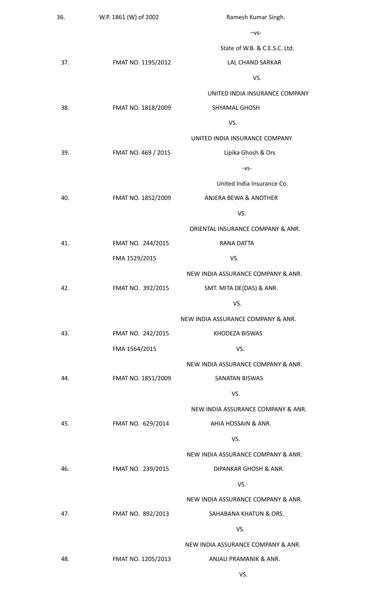| 36. | W.P. 1861 (W) of 2002 | Ramesh Kumar Singh.                |
|-----|-----------------------|------------------------------------|
|     |                       | $-vs-$                             |
|     |                       | State of W.B. & C.E.S.C. Ltd.      |
| 37. | FMAT NO. 1195/2012    | LAL CHAND SARKAR                   |
|     |                       | VS.                                |
|     |                       | UNITED INDIA INSURANCE COMPANY     |
| 38. | FMAT NO. 1818/2009    | <b>SHYAMAL GHOSH</b>               |
|     |                       | VS.                                |
|     |                       | UNITED INDIA INSURANCE COMPANY     |
| 39. | FMAT NO. 469 / 2015   | Lipika Ghosh & Ors                 |
|     |                       | $-VS-$                             |
|     |                       | United India Insurance Co.         |
| 40. | FMAT NO. 1852/2009    | ANJERA BEWA & ANOTHER              |
|     |                       | VS.                                |
|     |                       | ORIENTAL INSURANCE COMPANY & ANR.  |
| 41. | FMAT NO. 244/2015     | <b>RANA DATTA</b>                  |
|     | FMA 1529/2015         | VS.                                |
|     |                       | NEW INDIA ASSURANCE COMPANY & ANR. |
| 42. | FMAT NO. 392/2015     | SMT. MITA DE(DAS) & ANR.           |
|     |                       | VS.                                |
|     |                       | NEW INDIA ASSURANCE COMPANY & ANR. |
| 43. | FMAT NO. 242/2015     | KHODEZA BISWAS                     |
|     | FMA 1564/2015         | VS.                                |
|     |                       | NEW INDIA ASSURANCE COMPANY & ANR. |
| 44. | FMAT NO. 1851/2009    | <b>SANATAN BISWAS</b>              |
|     |                       | VS.                                |
|     |                       | NEW INDIA ASSURANCE COMPANY & ANR. |
| 45. | FMAT NO. 629/2014     | AHIA HOSSAIN & ANR.                |
|     |                       | VS.                                |
|     |                       | NEW INDIA ASSURANCE COMPANY & ANR. |
| 46. | FMAT NO. 239/2015     | DIPANKAR GHOSH & ANR.              |
|     |                       | VS.                                |
|     |                       | NEW INDIA ASSURANCE COMPANY & ANR. |
| 47. | FMAT NO. 892/2013     | SAHABANA KHATUN & ORS.             |
|     |                       | VS.                                |
|     |                       | NEW INDIA ASSURANCE COMPANY & ANR. |
| 48. | FMAT NO. 1205/2013    | ANJALI PRAMANIK & ANR.             |
|     |                       | VS.                                |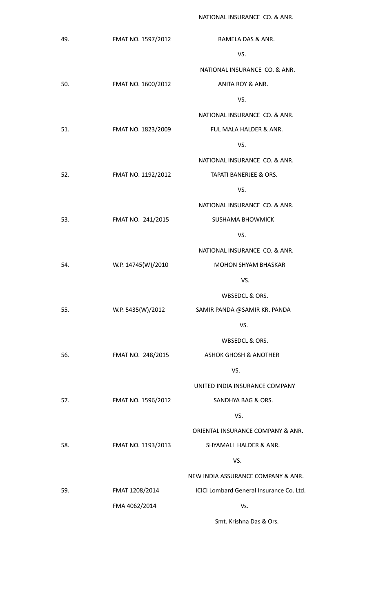NATIONAL INSURANCE CO. & ANR.

49. FMAT NO. 1597/2012 RAMELA DAS & ANR. VS. NATIONAL INSURANCE CO. & ANR. 50. FMAT NO. 1600/2012 ANITA ROY & ANR. VS. NATIONAL INSURANCE CO. & ANR. 51. FMAT NO. 1823/2009 FUL MALA HALDER & ANR. VS. NATIONAL INSURANCE CO. & ANR. 52. FMAT NO. 1192/2012 TAPATI BANERJEE & ORS. VS. NATIONAL INSURANCE CO. & ANR. 53. FMAT NO. 241/2015 SUSHAMA BHOWMICK VS. NATIONAL INSURANCE CO. & ANR. 54. W.P. 14745(W)/2010 MOHON SHYAM BHASKAR VS. WBSEDCL & ORS. 55. W.P. 5435(W)/2012 SAMIR PANDA @SAMIR KR. PANDA VS. WBSEDCL & ORS. 56. FMAT NO. 248/2015 ASHOK GHOSH & ANOTHER VS. UNITED INDIA INSURANCE COMPANY 57. FMAT NO. 1596/2012 SANDHYA BAG & ORS. VS. ORIENTAL INSURANCE COMPANY & ANR. 58. FMAT NO. 1193/2013 SHYAMALI HALDER & ANR. VS. NEW INDIA ASSURANCE COMPANY & ANR. 59. FMAT 1208/2014 FMA 4062/2014 ICICI Lombard General Insurance Co. Ltd. Vs. Smt. Krishna Das & Ors.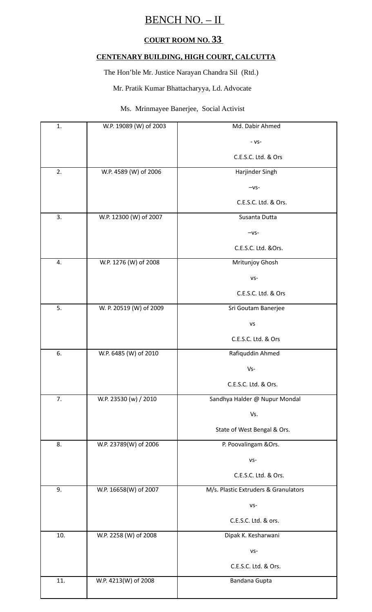# BENCH NO. – II

### **COURT ROOM NO. 33**

#### **CENTENARY BUILDING, HIGH COURT, CALCUTTA**

The Hon'ble Mr. Justice Narayan Chandra Sil (Rtd.)

Mr. Pratik Kumar Bhattacharyya, Ld. Advocate

#### Ms. Mrinmayee Banerjee, Social Activist

| 1.  | W.P. 19089 (W) of 2003  | Md. Dabir Ahmed                      |
|-----|-------------------------|--------------------------------------|
|     |                         | $-VS-$                               |
|     |                         | C.E.S.C. Ltd. & Ors                  |
| 2.  | W.P. 4589 (W) of 2006   | Harjinder Singh                      |
|     |                         | $-vs-$                               |
|     |                         | C.E.S.C. Ltd. & Ors.                 |
| 3.  | W.P. 12300 (W) of 2007  | Susanta Dutta                        |
|     |                         | $-vs-$                               |
|     |                         | C.E.S.C. Ltd. &Ors.                  |
| 4.  | W.P. 1276 (W) of 2008   | Mritunjoy Ghosh                      |
|     |                         | VS-                                  |
|     |                         | C.E.S.C. Ltd. & Ors                  |
| 5.  | W. P. 20519 (W) of 2009 | Sri Goutam Banerjee                  |
|     |                         | <b>VS</b>                            |
|     |                         | C.E.S.C. Ltd. & Ors                  |
| 6.  | W.P. 6485 (W) of 2010   | Rafiquddin Ahmed                     |
|     |                         | $Vs-$                                |
|     |                         | C.E.S.C. Ltd. & Ors.                 |
| 7.  | W.P. 23530 (w) / 2010   | Sandhya Halder @ Nupur Mondal        |
|     |                         | Vs.                                  |
|     |                         | State of West Bengal & Ors.          |
| 8.  | W.P. 23789(W) of 2006   | P. Poovalingam & Ors.                |
|     |                         | $VS -$                               |
|     |                         | C.E.S.C. Ltd. & Ors.                 |
| 9.  | W.P. 16658(W) of 2007   | M/s. Plastic Extruders & Granulators |
|     |                         | $VS -$                               |
|     |                         | C.E.S.C. Ltd. & ors.                 |
| 10. | W.P. 2258 (W) of 2008   | Dipak K. Kesharwani                  |
|     |                         | $VS -$                               |
|     |                         | C.E.S.C. Ltd. & Ors.                 |
| 11. | W.P. 4213(W) of 2008    | Bandana Gupta                        |
|     |                         |                                      |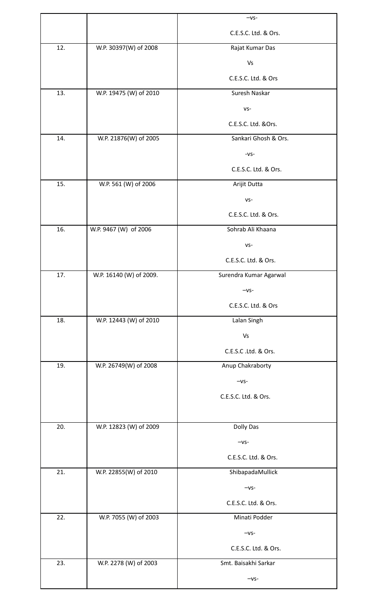|     |                         | $-vs-$                 |
|-----|-------------------------|------------------------|
|     |                         | C.E.S.C. Ltd. & Ors.   |
| 12. | W.P. 30397(W) of 2008   | Rajat Kumar Das        |
|     |                         | Vs                     |
|     |                         | C.E.S.C. Ltd. & Ors    |
| 13. | W.P. 19475 (W) of 2010  | Suresh Naskar          |
|     |                         | $VS -$                 |
|     |                         | C.E.S.C. Ltd. &Ors.    |
| 14. | W.P. 21876(W) of 2005   | Sankari Ghosh & Ors.   |
|     |                         | $-VS-$                 |
|     |                         | C.E.S.C. Ltd. & Ors.   |
| 15. | W.P. 561 (W) of 2006    | Arijit Dutta           |
|     |                         | $VS -$                 |
|     |                         | C.E.S.C. Ltd. & Ors.   |
| 16. | W.P. 9467 (W) of 2006   | Sohrab Ali Khaana      |
|     |                         | $VS -$                 |
|     |                         | C.E.S.C. Ltd. & Ors.   |
| 17. | W.P. 16140 (W) of 2009. | Surendra Kumar Agarwal |
|     |                         | $-vs-$                 |
|     |                         | C.E.S.C. Ltd. & Ors    |
| 18. | W.P. 12443 (W) of 2010  | Lalan Singh            |
|     |                         | Vs                     |
|     |                         | C.E.S.C.Ltd. & Ors.    |
| 19. | W.P. 26749(W) of 2008   | Anup Chakraborty       |
|     |                         | $-vs-$                 |
|     |                         | C.E.S.C. Ltd. & Ors.   |
|     |                         |                        |
| 20. | W.P. 12823 (W) of 2009  | Dolly Das              |
|     |                         | $-vs-$                 |
|     |                         | C.E.S.C. Ltd. & Ors.   |
| 21. | W.P. 22855(W) of 2010   | ShibapadaMullick       |
|     |                         | $-VS-$                 |
|     |                         | C.E.S.C. Ltd. & Ors.   |
| 22. | W.P. 7055 (W) of 2003   | Minati Podder          |
|     |                         | $-vs-$                 |
|     |                         | C.E.S.C. Ltd. & Ors.   |
| 23. | W.P. 2278 (W) of 2003   | Smt. Baisakhi Sarkar   |
|     |                         | $-vs-$                 |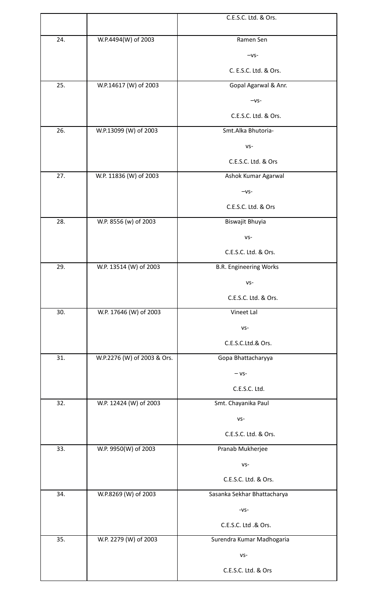|     |                             | C.E.S.C. Ltd. & Ors.          |
|-----|-----------------------------|-------------------------------|
|     |                             |                               |
| 24. | W.P.4494(W) of 2003         | Ramen Sen                     |
|     |                             | $-vs-$                        |
|     |                             | C. E.S.C. Ltd. & Ors.         |
| 25. | W.P.14617 (W) of 2003       | Gopal Agarwal & Anr.          |
|     |                             | $-vs-$                        |
|     |                             | C.E.S.C. Ltd. & Ors.          |
| 26. | W.P.13099 (W) of 2003       | Smt.Alka Bhutoria-            |
|     |                             | $VS -$                        |
|     |                             | C.E.S.C. Ltd. & Ors           |
| 27. | W.P. 11836 (W) of 2003      | Ashok Kumar Agarwal           |
|     |                             | $-vs-$                        |
|     |                             | C.E.S.C. Ltd. & Ors           |
| 28. | W.P. 8556 (w) of 2003       | Biswajit Bhuyia               |
|     |                             | $VS -$                        |
|     |                             | C.E.S.C. Ltd. & Ors.          |
| 29. | W.P. 13514 (W) of 2003      | <b>B.R. Engineering Works</b> |
|     |                             | VS-                           |
|     |                             | C.E.S.C. Ltd. & Ors.          |
| 30. | W.P. 17646 (W) of 2003      | Vineet Lal                    |
|     |                             | $VS -$                        |
|     |                             | C.E.S.C.Ltd.& Ors.            |
| 31. | W.P.2276 (W) of 2003 & Ors. | Gopa Bhattacharyya            |
|     |                             | $- vs-$                       |
|     |                             | C.E.S.C. Ltd.                 |
| 32. | W.P. 12424 (W) of 2003      | Smt. Chayanika Paul           |
|     |                             | $VS -$                        |
|     |                             | C.E.S.C. Ltd. & Ors.          |
| 33. | W.P. 9950(W) of 2003        | Pranab Mukherjee              |
|     |                             | $VS -$                        |
|     |                             | C.E.S.C. Ltd. & Ors.          |
| 34. | W.P.8269 (W) of 2003        | Sasanka Sekhar Bhattacharya   |
|     |                             | $-VS-$                        |
|     |                             | C.E.S.C. Ltd .& Ors.          |
| 35. | W.P. 2279 (W) of 2003       | Surendra Kumar Madhogaria     |
|     |                             | $VS -$                        |
|     |                             | C.E.S.C. Ltd. & Ors           |
|     |                             |                               |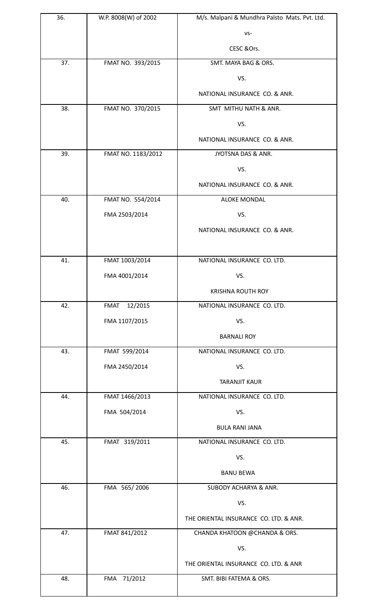| 36. | W.P. 8008(W) of 2002   | M/s. Malpani & Mundhra Palsto Mats. Pvt. Ltd. |
|-----|------------------------|-----------------------------------------------|
|     |                        | $VS -$                                        |
|     |                        | CESC & Ors.                                   |
| 37. | FMAT NO. 393/2015      | SMT. MAYA BAG & ORS.                          |
|     |                        | VS.                                           |
|     |                        | NATIONAL INSURANCE CO. & ANR.                 |
| 38. | FMAT NO. 370/2015      | SMT MITHU NATH & ANR.                         |
|     |                        | VS.                                           |
|     |                        | NATIONAL INSURANCE CO. & ANR.                 |
| 39. | FMAT NO. 1183/2012     | JYOTSNA DAS & ANR.                            |
|     |                        | VS.                                           |
|     |                        | NATIONAL INSURANCE CO. & ANR.                 |
| 40. | FMAT NO. 554/2014      | <b>ALOKE MONDAL</b>                           |
|     | FMA 2503/2014          | VS.                                           |
|     |                        | NATIONAL INSURANCE CO. & ANR.                 |
|     |                        |                                               |
| 41. | FMAT 1003/2014         | NATIONAL INSURANCE CO. LTD.                   |
|     | FMA 4001/2014          | VS.                                           |
|     |                        | <b>KRISHNA ROUTH ROY</b>                      |
| 42. | 12/2015<br><b>FMAT</b> | NATIONAL INSURANCE CO. LTD.                   |
|     | FMA 1107/2015          | VS.                                           |
|     |                        | <b>BARNALI ROY</b>                            |
| 43. | FMAT 599/2014          | NATIONAL INSURANCE CO. LTD.                   |
|     | FMA 2450/2014          | VS.                                           |
|     |                        | <b>TARANJIT KAUR</b>                          |
| 44. | FMAT 1466/2013         | NATIONAL INSURANCE CO. LTD.                   |
|     | FMA 504/2014           | VS.                                           |
|     |                        | <b>BULA RANI JANA</b>                         |
| 45. | FMAT 319/2011          | NATIONAL INSURANCE CO. LTD.                   |
|     |                        | VS.                                           |
|     |                        | <b>BANU BEWA</b>                              |
| 46. | FMA 565/2006           | <b>SUBODY ACHARYA &amp; ANR.</b>              |
|     |                        | VS.                                           |
|     |                        | THE ORIENTAL INSURANCE CO. LTD. & ANR.        |
| 47. | FMAT 841/2012          | CHANDA KHATOON @CHANDA & ORS.                 |
|     |                        | VS.                                           |
|     |                        | THE ORIENTAL INSURANCE CO. LTD. & ANR         |
| 48. | 71/2012<br>FMA         | SMT. BIBI FATEMA & ORS.                       |
|     |                        |                                               |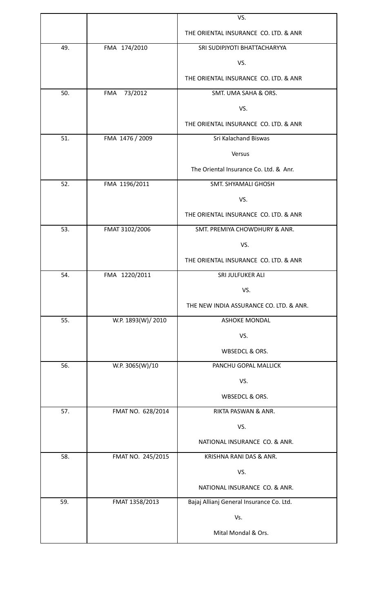|     |                   | VS.                                      |
|-----|-------------------|------------------------------------------|
|     |                   | THE ORIENTAL INSURANCE CO. LTD. & ANR    |
| 49. | FMA 174/2010      | SRI SUDIPJYOTI BHATTACHARYYA             |
|     |                   | VS.                                      |
|     |                   | THE ORIENTAL INSURANCE CO. LTD. & ANR    |
| 50. | 73/2012<br>FMA    | SMT. UMA SAHA & ORS.                     |
|     |                   | VS.                                      |
|     |                   | THE ORIENTAL INSURANCE CO. LTD. & ANR    |
| 51. | FMA 1476 / 2009   | Sri Kalachand Biswas                     |
|     |                   | Versus                                   |
|     |                   | The Oriental Insurance Co. Ltd. & Anr.   |
| 52. | FMA 1196/2011     | <b>SMT. SHYAMALI GHOSH</b>               |
|     |                   | VS.                                      |
|     |                   | THE ORIENTAL INSURANCE CO. LTD. & ANR    |
| 53. | FMAT 3102/2006    | SMT. PREMIYA CHOWDHURY & ANR.            |
|     |                   | VS.                                      |
|     |                   | THE ORIENTAL INSURANCE CO. LTD. & ANR    |
| 54. | FMA 1220/2011     | SRI JULFUKER ALI                         |
|     |                   | VS.                                      |
|     |                   | THE NEW INDIA ASSURANCE CO. LTD. & ANR.  |
| 55. | W.P. 1893(W)/2010 | <b>ASHOKE MONDAL</b>                     |
|     |                   | VS.                                      |
|     |                   | WBSEDCL & ORS.                           |
| 56. | W.P. 3065(W)/10   | PANCHU GOPAL MALLICK                     |
|     |                   | VS.                                      |
|     |                   | WBSEDCL & ORS.                           |
| 57. | FMAT NO. 628/2014 | RIKTA PASWAN & ANR.                      |
|     |                   | VS.                                      |
|     |                   | NATIONAL INSURANCE CO. & ANR.            |
| 58. | FMAT NO. 245/2015 | KRISHNA RANI DAS & ANR.                  |
|     |                   | VS.                                      |
|     |                   | NATIONAL INSURANCE CO. & ANR.            |
| 59. | FMAT 1358/2013    | Bajaj Allianj General Insurance Co. Ltd. |
|     |                   | Vs.                                      |
|     |                   | Mital Mondal & Ors.                      |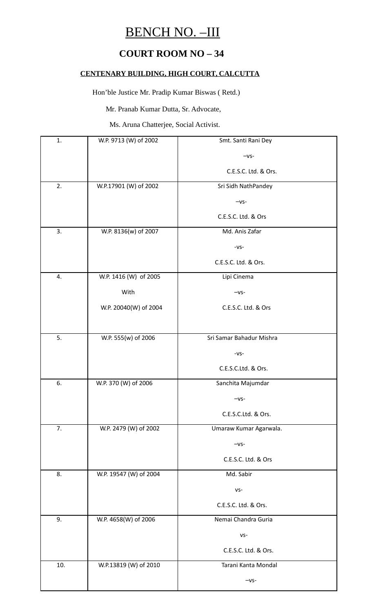# BENCH NO. –III

### **COURT ROOM NO – 34**

#### **CENTENARY BUILDING, HIGH COURT, CALCUTTA**

Hon'ble Justice Mr. Pradip Kumar Biswas ( Retd.)

Mr. Pranab Kumar Dutta, Sr. Advocate,

Ms. Aruna Chatterjee, Social Activist.

| 1.  | W.P. 9713 (W) of 2002  | Smt. Santi Rani Dey      |
|-----|------------------------|--------------------------|
|     |                        | $-vs-$                   |
|     |                        | C.E.S.C. Ltd. & Ors.     |
| 2.  | W.P.17901 (W) of 2002  | Sri Sidh NathPandey      |
|     |                        | $-vs-$                   |
|     |                        | C.E.S.C. Ltd. & Ors      |
| 3.  | W.P. 8136(w) of 2007   | Md. Anis Zafar           |
|     |                        | $-VS-$                   |
|     |                        | C.E.S.C. Ltd. & Ors.     |
| 4.  | W.P. 1416 (W) of 2005  | Lipi Cinema              |
|     | With                   | $-vs-$                   |
|     | W.P. 20040(W) of 2004  | C.E.S.C. Ltd. & Ors      |
|     |                        |                          |
| 5.  | W.P. 555(w) of 2006    | Sri Samar Bahadur Mishra |
|     |                        | $-VS-$                   |
|     |                        | C.E.S.C.Ltd. & Ors.      |
| 6.  | W.P. 370 (W) of 2006   | Sanchita Majumdar        |
|     |                        | $-vs-$                   |
|     |                        | C.E.S.C.Ltd. & Ors.      |
| 7.  | W.P. 2479 (W) of 2002  | Umaraw Kumar Agarwala.   |
|     |                        | $-vs-$                   |
|     |                        | C.E.S.C. Ltd. & Ors      |
| 8.  | W.P. 19547 (W) of 2004 | Md. Sabir                |
|     |                        | $VS -$                   |
|     |                        | C.E.S.C. Ltd. & Ors.     |
| 9.  | W.P. 4658(W) of 2006   | Nemai Chandra Guria      |
|     |                        | $VS -$                   |
|     |                        | C.E.S.C. Ltd. & Ors.     |
| 10. | W.P.13819 (W) of 2010  | Tarani Kanta Mondal      |
|     |                        | $-vs-$                   |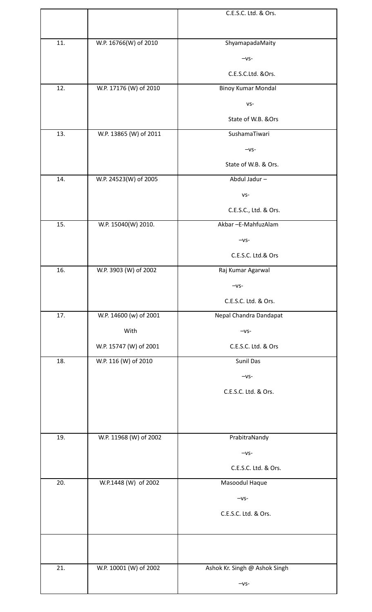|     |                        | C.E.S.C. Ltd. & Ors.          |
|-----|------------------------|-------------------------------|
|     |                        |                               |
| 11. | W.P. 16766(W) of 2010  | ShyamapadaMaity               |
|     |                        | $-VS-$                        |
|     |                        | C.E.S.C.Ltd. &Ors.            |
| 12. | W.P. 17176 (W) of 2010 | <b>Binoy Kumar Mondal</b>     |
|     |                        | $VS -$                        |
|     |                        | State of W.B. & Ors           |
| 13. | W.P. 13865 (W) of 2011 | SushamaTiwari                 |
|     |                        | $-vs-$                        |
|     |                        | State of W.B. & Ors.          |
| 14. | W.P. 24523(W) of 2005  | Abdul Jadur-                  |
|     |                        | $VS -$                        |
|     |                        | C.E.S.C., Ltd. & Ors.         |
| 15. | W.P. 15040(W) 2010.    | Akbar - E-Mahfuz Alam         |
|     |                        | $-vs-$                        |
|     |                        | C.E.S.C. Ltd.& Ors            |
| 16. | W.P. 3903 (W) of 2002  | Raj Kumar Agarwal             |
|     |                        | $-vs-$                        |
|     |                        | C.E.S.C. Ltd. & Ors.          |
| 17. | W.P. 14600 (w) of 2001 | Nepal Chandra Dandapat        |
|     | With                   | $-vs-$                        |
|     | W.P. 15747 (W) of 2001 | C.E.S.C. Ltd. & Ors           |
| 18. | W.P. 116 (W) of 2010   | Sunil Das                     |
|     |                        | $-vs-$                        |
|     |                        | C.E.S.C. Ltd. & Ors.          |
|     |                        |                               |
|     |                        |                               |
| 19. | W.P. 11968 (W) of 2002 | PrabitraNandy                 |
|     |                        | $-vs-$                        |
|     |                        | C.E.S.C. Ltd. & Ors.          |
| 20. | W.P.1448 (W) of 2002   | Masoodul Haque                |
|     |                        | $-vs-$                        |
|     |                        | C.E.S.C. Ltd. & Ors.          |
|     |                        |                               |
|     |                        |                               |
| 21. | W.P. 10001 (W) of 2002 | Ashok Kr. Singh @ Ashok Singh |
|     |                        | $-vs-$                        |
|     |                        |                               |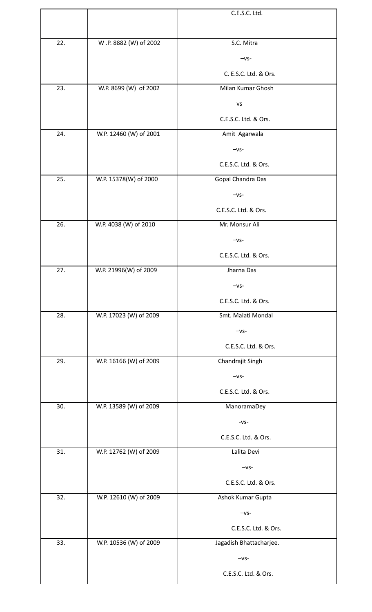|     |                        | C.E.S.C. Ltd.           |
|-----|------------------------|-------------------------|
|     |                        |                         |
| 22. | W .P. 8882 (W) of 2002 | S.C. Mitra              |
|     |                        | $-vs-$                  |
|     |                        | C. E.S.C. Ltd. & Ors.   |
| 23. | W.P. 8699 (W) of 2002  | Milan Kumar Ghosh       |
|     |                        | VS                      |
|     |                        | C.E.S.C. Ltd. & Ors.    |
| 24. | W.P. 12460 (W) of 2001 | Amit Agarwala           |
|     |                        | $-vs-$                  |
|     |                        | C.E.S.C. Ltd. & Ors.    |
| 25. | W.P. 15378(W) of 2000  | Gopal Chandra Das       |
|     |                        | $-VS-$                  |
|     |                        | C.E.S.C. Ltd. & Ors.    |
| 26. | W.P. 4038 (W) of 2010  | Mr. Monsur Ali          |
|     |                        | $-vs-$                  |
|     |                        | C.E.S.C. Ltd. & Ors.    |
| 27. | W.P. 21996(W) of 2009  | Jharna Das              |
|     |                        | $-vs-$                  |
|     |                        | C.E.S.C. Ltd. & Ors.    |
| 28. | W.P. 17023 (W) of 2009 | Smt. Malati Mondal      |
|     |                        | $-vs-$                  |
|     |                        | C.E.S.C. Ltd. & Ors.    |
| 29. | W.P. 16166 (W) of 2009 | Chandrajit Singh        |
|     |                        | $-vs-$                  |
|     |                        | C.E.S.C. Ltd. & Ors.    |
| 30. | W.P. 13589 (W) of 2009 | ManoramaDey             |
|     |                        | $-VS-$                  |
|     |                        | C.E.S.C. Ltd. & Ors.    |
| 31. | W.P. 12762 (W) of 2009 | Lalita Devi             |
|     |                        | $-vs-$                  |
|     |                        | C.E.S.C. Ltd. & Ors.    |
| 32. | W.P. 12610 (W) of 2009 | Ashok Kumar Gupta       |
|     |                        | $-VS-$                  |
|     |                        | C.E.S.C. Ltd. & Ors.    |
| 33. | W.P. 10536 (W) of 2009 | Jagadish Bhattacharjee. |
|     |                        | $-vs-$                  |
|     |                        | C.E.S.C. Ltd. & Ors.    |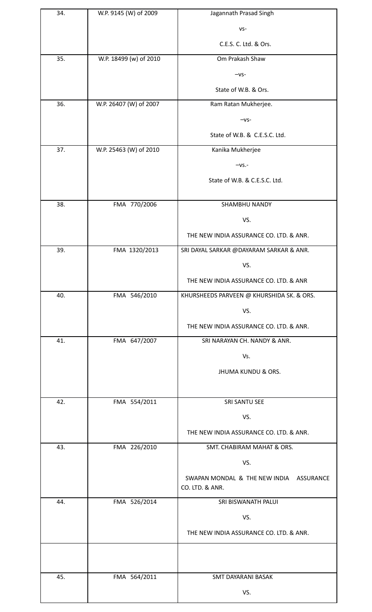| 34. | W.P. 9145 (W) of 2009  | Jagannath Prasad Singh                                     |
|-----|------------------------|------------------------------------------------------------|
|     |                        | $VS -$                                                     |
|     |                        | C.E.S. C. Ltd. & Ors.                                      |
| 35. | W.P. 18499 (w) of 2010 | Om Prakash Shaw                                            |
|     |                        | $-vs-$                                                     |
|     |                        | State of W.B. & Ors.                                       |
| 36. | W.P. 26407 (W) of 2007 | Ram Ratan Mukherjee.                                       |
|     |                        | $-vs-$                                                     |
|     |                        | State of W.B. & C.E.S.C. Ltd.                              |
| 37. | W.P. 25463 (W) of 2010 | Kanika Mukherjee                                           |
|     |                        | $-VS. -$                                                   |
|     |                        | State of W.B. & C.E.S.C. Ltd.                              |
|     |                        |                                                            |
| 38. | FMA 770/2006           | SHAMBHU NANDY                                              |
|     |                        | VS.                                                        |
|     |                        | THE NEW INDIA ASSURANCE CO. LTD. & ANR.                    |
| 39. | FMA 1320/2013          | SRI DAYAL SARKAR @DAYARAM SARKAR & ANR.                    |
|     |                        | VS.                                                        |
|     |                        | THE NEW INDIA ASSURANCE CO. LTD. & ANR                     |
| 40. | FMA 546/2010           | KHURSHEEDS PARVEEN @ KHURSHIDA SK. & ORS.                  |
|     |                        | VS.                                                        |
|     |                        | THE NEW INDIA ASSURANCE CO. LTD. & ANR.                    |
| 41. | FMA 647/2007           | SRI NARAYAN CH. NANDY & ANR.                               |
|     |                        | Vs.                                                        |
|     |                        | <b>JHUMA KUNDU &amp; ORS.</b>                              |
|     |                        |                                                            |
| 42. | FMA 554/2011           | SRI SANTU SEE                                              |
|     |                        | VS.                                                        |
|     |                        | THE NEW INDIA ASSURANCE CO. LTD. & ANR.                    |
| 43. | FMA 226/2010           | SMT. CHABIRAM MAHAT & ORS.                                 |
|     |                        | VS.                                                        |
|     |                        | SWAPAN MONDAL & THE NEW INDIA ASSURANCE<br>CO. LTD. & ANR. |
| 44. | FMA 526/2014           | SRI BISWANATH PALUI                                        |
|     |                        | VS.                                                        |
|     |                        | THE NEW INDIA ASSURANCE CO. LTD. & ANR.                    |
|     |                        |                                                            |
|     |                        |                                                            |
| 45. | FMA 564/2011           | <b>SMT DAYARANI BASAK</b>                                  |
|     |                        | VS.                                                        |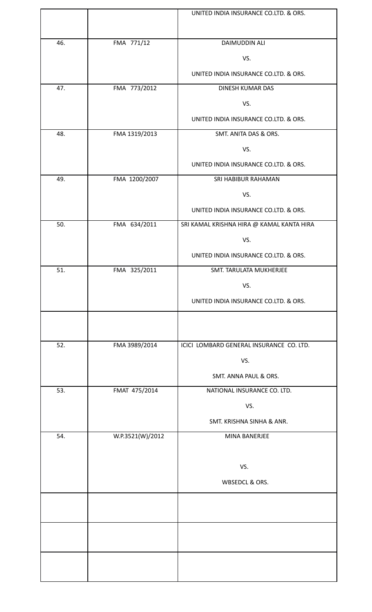|     |                  | UNITED INDIA INSURANCE CO.LTD. & ORS.     |
|-----|------------------|-------------------------------------------|
| 46. | FMA 771/12       | DAIMUDDIN ALI                             |
|     |                  | VS.                                       |
|     |                  | UNITED INDIA INSURANCE CO.LTD. & ORS.     |
| 47. | FMA 773/2012     | DINESH KUMAR DAS                          |
|     |                  | VS.                                       |
|     |                  | UNITED INDIA INSURANCE CO.LTD. & ORS.     |
| 48. | FMA 1319/2013    | SMT. ANITA DAS & ORS.                     |
|     |                  | VS.                                       |
|     |                  | UNITED INDIA INSURANCE CO.LTD. & ORS.     |
| 49. | FMA 1200/2007    | SRI HABIBUR RAHAMAN                       |
|     |                  | VS.                                       |
|     |                  | UNITED INDIA INSURANCE CO.LTD. & ORS.     |
| 50. | FMA 634/2011     | SRI KAMAL KRISHNA HIRA @ KAMAL KANTA HIRA |
|     |                  | VS.                                       |
|     |                  | UNITED INDIA INSURANCE CO.LTD. & ORS.     |
| 51. | FMA 325/2011     | SMT. TARULATA MUKHERJEE                   |
|     |                  | VS.                                       |
|     |                  | UNITED INDIA INSURANCE CO.LTD. & ORS.     |
|     |                  |                                           |
| 52. | FMA 3989/2014    | ICICI LOMBARD GENERAL INSURANCE CO. LTD.  |
|     |                  | VS.                                       |
|     |                  | SMT. ANNA PAUL & ORS.                     |
| 53. | FMAT 475/2014    | NATIONAL INSURANCE CO. LTD.               |
|     |                  | VS.                                       |
|     |                  | SMT. KRISHNA SINHA & ANR.                 |
| 54. | W.P.3521(W)/2012 | MINA BANERJEE                             |
|     |                  |                                           |
|     |                  | VS.                                       |
|     |                  | WBSEDCL & ORS.                            |
|     |                  |                                           |
|     |                  |                                           |
|     |                  |                                           |
|     |                  |                                           |
|     |                  |                                           |